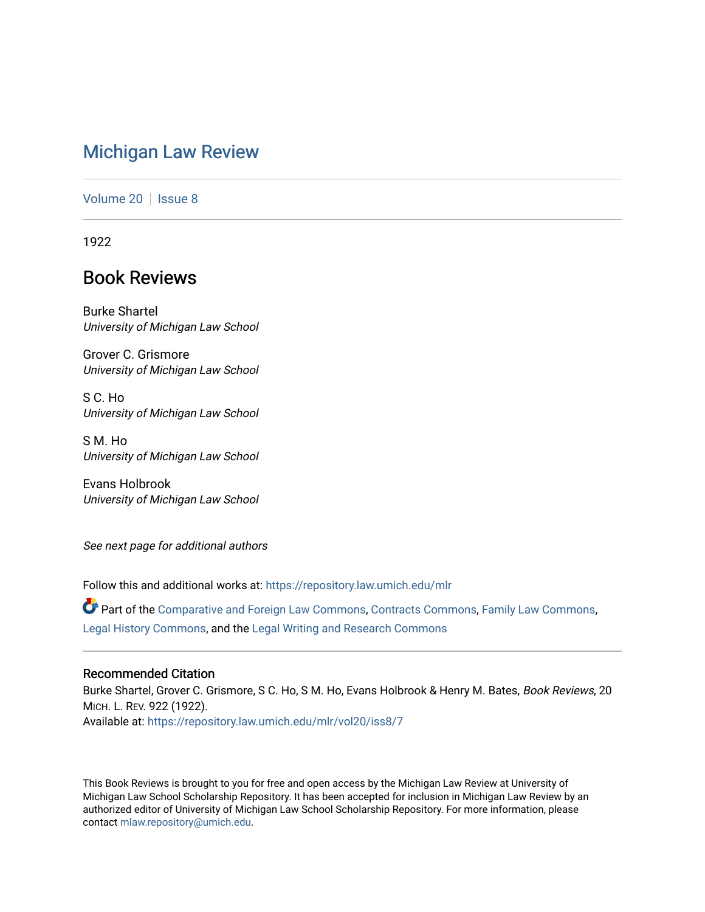# [Michigan Law Review](https://repository.law.umich.edu/mlr)

[Volume 20](https://repository.law.umich.edu/mlr/vol20) | [Issue 8](https://repository.law.umich.edu/mlr/vol20/iss8)

1922

# Book Reviews

Burke Shartel University of Michigan Law School

Grover C. Grismore University of Michigan Law School

S C. Ho University of Michigan Law School

S M. Ho University of Michigan Law School

Evans Holbrook University of Michigan Law School

See next page for additional authors

Follow this and additional works at: [https://repository.law.umich.edu/mlr](https://repository.law.umich.edu/mlr?utm_source=repository.law.umich.edu%2Fmlr%2Fvol20%2Fiss8%2F7&utm_medium=PDF&utm_campaign=PDFCoverPages) 

Part of the [Comparative and Foreign Law Commons,](http://network.bepress.com/hgg/discipline/836?utm_source=repository.law.umich.edu%2Fmlr%2Fvol20%2Fiss8%2F7&utm_medium=PDF&utm_campaign=PDFCoverPages) [Contracts Commons](http://network.bepress.com/hgg/discipline/591?utm_source=repository.law.umich.edu%2Fmlr%2Fvol20%2Fiss8%2F7&utm_medium=PDF&utm_campaign=PDFCoverPages), [Family Law Commons](http://network.bepress.com/hgg/discipline/602?utm_source=repository.law.umich.edu%2Fmlr%2Fvol20%2Fiss8%2F7&utm_medium=PDF&utm_campaign=PDFCoverPages), [Legal History Commons](http://network.bepress.com/hgg/discipline/904?utm_source=repository.law.umich.edu%2Fmlr%2Fvol20%2Fiss8%2F7&utm_medium=PDF&utm_campaign=PDFCoverPages), and the [Legal Writing and Research Commons](http://network.bepress.com/hgg/discipline/614?utm_source=repository.law.umich.edu%2Fmlr%2Fvol20%2Fiss8%2F7&utm_medium=PDF&utm_campaign=PDFCoverPages) 

### Recommended Citation

Burke Shartel, Grover C. Grismore, S C. Ho, S M. Ho, Evans Holbrook & Henry M. Bates, Book Reviews, 20 MICH. L. REV. 922 (1922). Available at: [https://repository.law.umich.edu/mlr/vol20/iss8/7](https://repository.law.umich.edu/mlr/vol20/iss8/7?utm_source=repository.law.umich.edu%2Fmlr%2Fvol20%2Fiss8%2F7&utm_medium=PDF&utm_campaign=PDFCoverPages)

This Book Reviews is brought to you for free and open access by the Michigan Law Review at University of Michigan Law School Scholarship Repository. It has been accepted for inclusion in Michigan Law Review by an authorized editor of University of Michigan Law School Scholarship Repository. For more information, please contact [mlaw.repository@umich.edu](mailto:mlaw.repository@umich.edu).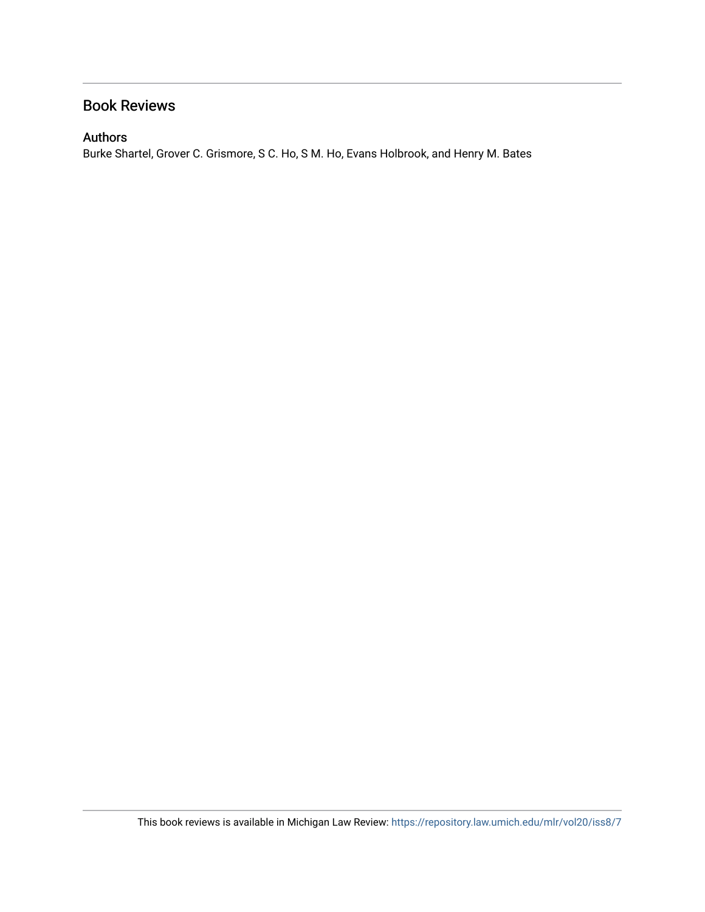## Book Reviews

## Authors

Burke Shartel, Grover C. Grismore, S C. Ho, S M. Ho, Evans Holbrook, and Henry M. Bates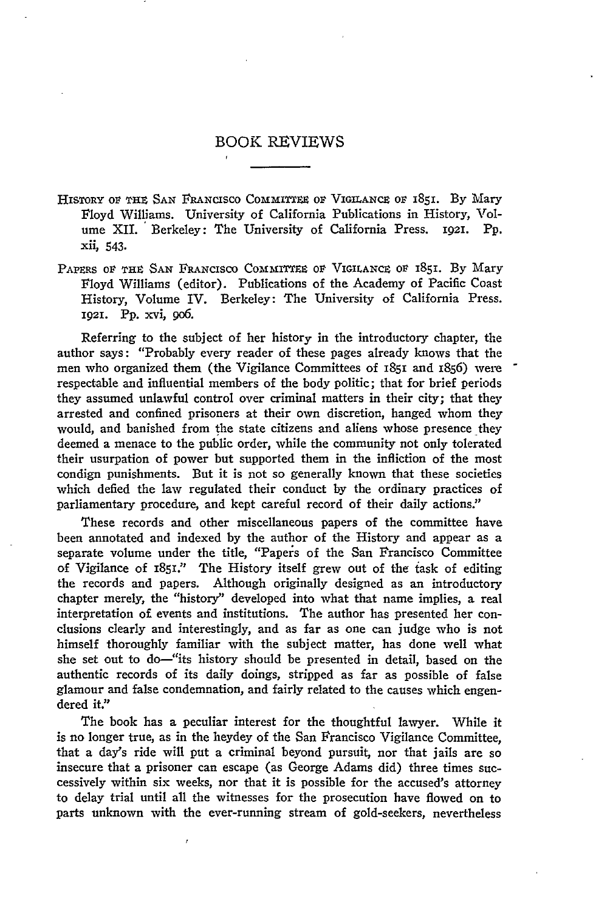### BOOK REVIEWS

HISTORY OF THE SAN FRANCISCO COMMITTEE OF VIGILANCE OF 1851. By Mary Floyd Williams. University of California Publications in History, Volume XII. Berkeley: The University of California Press. xii, 543.

PAPERS OF THE SAN FRANCISCO COMMITTEE OF VIGILANCE OF I851. By Mary Floyd Williams (editor). Publications of the Academy of Pacific Coast History, Volume IV. Berkeley: The University of California Press. 1921. Pp. xvi, go6.

Referring to the subject of her history in the introductory chapter, the author says: "Probably every reader of these pages already knows that the men who organized them (the Vigilance Committees of I851 and 1856) were • respectable and influential members of the body politic; that for brief periods they assumed unlawful control over criminal matters in their city; that they arrested and confined prisoners at their own discretion, hanged whom they would, and banished from the state citizens and aliens whose presence they deemed a menace to the public order, while the community not only tolerated their usurpation of power but supported them in the infliction of the most condign punishments. But it is not so generally known that these societies which defied the law regulated their conduct by the ordinary practices of parliamentary procedure, and kept careful record of their daily actions."

These records and other miscellaneous papers of the committee have been annotated and indexed by the author of the History and appear as a separate volume under the title, "Papers of the San Francisco Committee of Vigilance of 1851." The History itself grew out of the task of editing the records and papers. Although originally designed as an introductory chapter merely, the "history" developed into what that name implies, a real interpretation of events and institutions. The author has presented her conclusions clearly and interestingly, and as far as one can judge who is not himself thoroughly familiar with the subject matter, has done well what she set out to do-"its history should be presented in detail, based on the authentic records of its daily doings, stripped as far as possible of false glamour and false condemnation, and fairly related to the causes which engendered it."

The book has a peculiar interest for the thoughtful lawyer. While it is no longer true, as in the heydey of the San Francisco Vigilance Committee, that a day's ride will put a criminal beyond pursuit, nor that jails are so insecure that a prisoner can escape (as George Adams did) three times successively within six weeks, nor that it is possible for the accused's attorney to delay trial until all the witnesses for the prosecution have flowed on to parts unknown with the ever-running stream of gold-seekers, nevertheless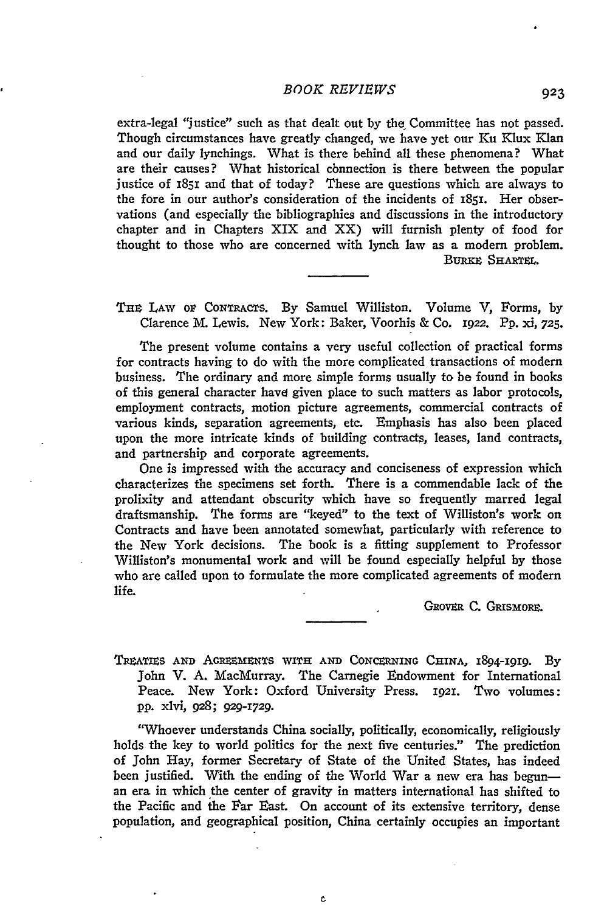#### *BOOK REVIEWS*

extra-legal "justice" such as that dealt out by the\_ Committee has not passed. Though circumstances have greatly changed, we have yet our Ku Klux Klan and our daily lynchings. What is there behind all these phenomena? What are their causes? What historical cbnnection is there between the popular justice of 1851 and that of today? These are questions which are always to the fore in our author's consideration of the incidents of 1851. Her observations (and especially the bibliographies and discussions in the introductory chapter and in Chapters XIX and XX) wiU furnish plenty of food for thought to those who are concerned with lynch law as a modem problem. BURKE SHARTEL.

THE LAW OF CONTRACTS. By Samuel Williston. Volume V, Forms, by Clarence M. Lewis. New York: Baker, Voorhis & Co. 1922. Pp. xi, 725.

The present volume contains a very useful collection of practical forms for contracts having to do with the more complicated transactions of modem business. The ordinary and more simple forms usually to be found in books of this general character have given place to such matters as labor protocols, employment contracts, motion picture agreements, commercial contracts of various kinds, separation agreements, etc. Emphasis has also been placed upon the more intricate kinds of building contracts, leases, land contracts, and partnership and corporate agreements.

One is impressed with the accuracy and conciseness of expression which characterizes the specimens set forth. There is a commendable lack of the prolixity and attendant obscurity which have so frequently marred legal draftsmanship. The forms are "keyed" to the text of Williston's work on Contracts and have been annotated somewhat, particularly with reference to the New York decisions. The book is a fitting supplement to Professor Williston's monumental work and will be found especially helpful by those who are called upon to formulate the more complicated agreements of modem life.

GROVER C. GRISMORE.

TREATIES AND AGREEMENTS WITH AND CONCERNING CHINA, 1894-1919. By John V. A. MacMurray. The Carnegie Endowment for International Peace. New York: Oxford University Press. 1921. Two volumes: pp. xlvi, 928; 929-1729.

"Whoever understands China socially, politically, economically, religiously holds the key to world politics for the next five centuries." The prediction of John Hay, former Secretary of State of the United States, has indeed been justified. With the ending of the World War a new era has begunan era in which the center of gravity in matters international has shifted to the Pacific and the Far East. On account of its extensive territory, dense population, and geographical position, China certainly occupies an important

r.

923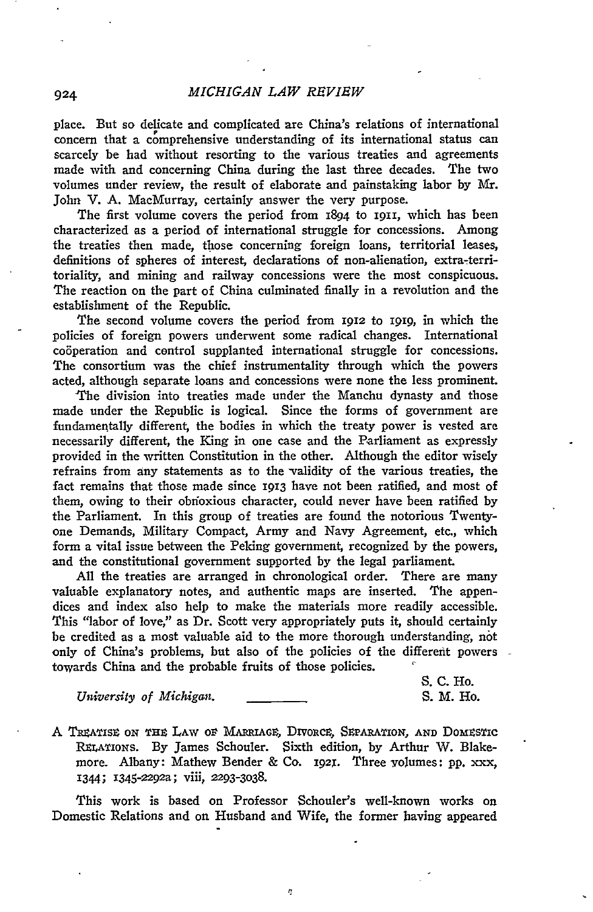#### *MICHIGAN LAW REVIEW*

place. But so delicate and complicated are China's relations of international concern that a comprehensive understanding of its international status can scarcely be had without resorting to the various treaties and agreements made with and concerning China during the last three decades. The two volumes under review, the result of elaborate and painstaking labor by Mr. John V. A. MacMurray, certainly answer the very purpose.

The first volume covers the period from 1894 to 1911, which has been characterized as a period of international struggle for concessions. Among the treaties then made, those concerning foreign loans, territorial leases, definitions of spheres of interest, declarations of non-alienation, extra~territoriality, and mining and railway concessions were the most conspicuous. The reaction on the part of China culminated finally in a revolution and the establishment of the Republic.

The second volume covers the period from 1912 to 1919, in which the policies of foreign powers underwent some radical changes. International cooperation and centrol supplanted international struggle for concessions. The consortium was the chief instrumentality through which the powers acted, although separate loans and concessions were none the less prominent.

The division into treaties made under the Manchu dynasty and those made under the Republic is logical. Since the forms of government are fundamentally different, the bodies in which the treaty power is vested are necessarily different, the King in one case and the Parliament as expressly provided in the written Constitution in the other. Although the editor wisely refrains from any statements as to the validity of the various treaties, the fact remains that those made since 1913 have not been ratified, and most of them, owing to their obnoxious character, could never have been ratified by the Parliament. In this group of treaties are found the notorious Twentyone Demands, Military Compact, Army and Navy Agreement, etc., which form a vital issue between the Peking government, recognized by the powers, and the constitutional government supported by the legal parliament.

All the treaties are arranged in chronological order. There are many valuable explanatory notes, and authentic maps are inserted. The appendices and index also help to make the materials more readily accessible. This "labor of love," as Dr. Scott very appropriately puts it, should certainly be credited as a most valuable aid to the more thorough understanding, not only of China's problems, but also of the policies of the different powers towards China and the probable fruits of those policies.

> S. C.Ho. S. M. Ho.

*University of Michigan.* 

A TREATISE ON THE LAW OF MARRIAGE, DIVORCE, SEPARATION, AND DOMESTIC RELATIONS. By James Schouler. Sixth edition, by Arthur W. Blakemore. Albany: Mathew Bender & Co. 1921. Three yolumes: pp. xxx, 1344; l345-2292a; viii, 2293-3038.

This work is based on Professor Schouler's well-known works on Domestic Relations and on Husband and Wife, the former having appeared

h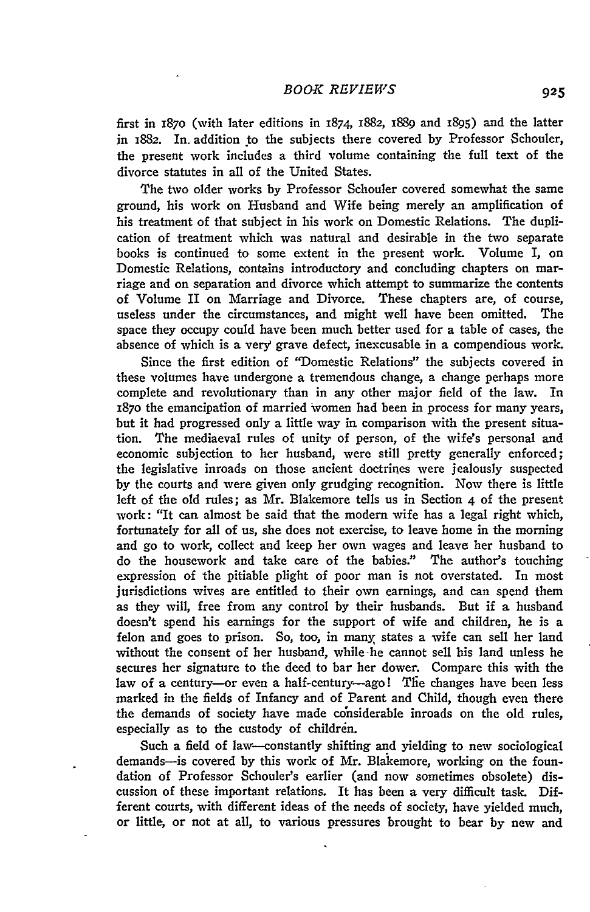first in  $1870$  (with later editions in  $1874$ ,  $1882$ ,  $1889$  and  $1895$ ) and the latter in 1882. In addition to the subjects there covered by Professor Schouler, the present work includes a third volume containing the full text of the divorce statutes in all of the United States.

The two older works by Professor Schouler covered somewhat the same ground, his work on Husband and Wife being merely an amplification of his treatment of that subject in his work on Domestic Relations. The duplication of treatment which was natural and desirable in the two separate books is continued to some extent in the present work. Volume I, on Domestic Relations, contains introductory and concluding chapters on marriage and on separation and divorce which attempt to summarize the contents of Volume II on Marriage and Divorce. These chapters are, of course, useless under the circumstances, and might well have been omitted. The space they occupy could have been much better used for a table of cases, the absence of which is a very' grave defect, inexcusable in a compendious work.

Since the first edition of "Domestic Relations" the subjects covered in these volumes have undergone a tremendous change, a change perhaps more complete and revolutionary than in any other major field of the law. In 1870 the emancipation of married women had been in process for many years, but it had progressed only a little way in comparison with the present situation. The mediaeval rules of unity of person, of the wife's personal and economic subjection to her husband, were still pretty generally enforced; the legislative inroads on those ancient doctrines were jealously suspected by the courts and were given only grudging recognition. Now there is little left of the old rules; as Mr. Blakemore tells us in Section 4 of the present work: "It can almost be said that the modem wife has a legal right which, fortunately for all of us, she does not exercise, to leave home in the morning and go to work, collect and keep her own wages and leave her husband to do the housework and take care of the babies." The author's touching expression of the pitiable plight of poor man is not overstated. In most jurisdictions wives are entitled to their own earnings, and can spend them as they will, free from any control by their husbands. But if a husband doesn't spend his earnings for the support of wife and children, he is a felon and goes to prison. So, too, in many; states a wife can sell her land without the consent of her husband, while-he cannot sell his land unless he secures her signature to the deed to bar her dower. Compare this with the law of a century-or even a half-century-ago! The changes have been less marked in the fields of Infancy and of Parent and Child, though even there the demands of society have made considerable inroads on the old rules, especially as to the custody of children.

Such a field of law-constantly shifting and yielding to new sociological demands—is covered by this work of Mr. Blakemore, working on the foundation of Professor Schouler's earlier (and now sometimes obsolete) discussion of these important relations. It has been a very difficult task. Different courts, with different ideas of the needs of society, have yielded much, or little, or not at all, to various pressures brought to bear by new and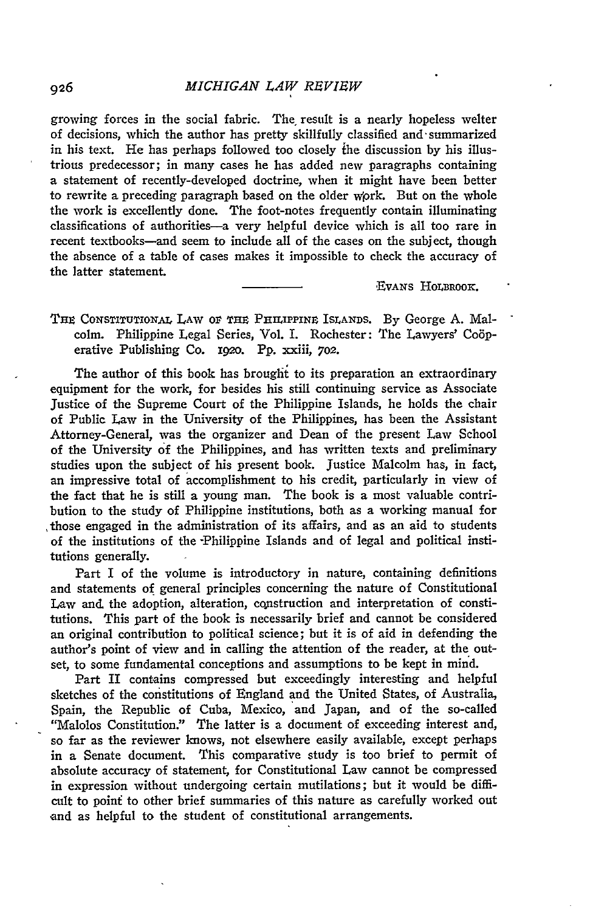growing forces in the social fabric. The. result is a nearly hopeless welter of decisions, which the author has pretty skillfully classified and· summarized in his text. He has perhaps followed too closely the discussion by his illustrious predecessor; in many cases he has added new paragraphs containing a statement of recently-developed doctrine, when it might have been better to rewrite a preceding paragraph based on the older work. But on the whole the work is excellently done. The foot-notes frequently contain illuminating classifications of authorities-a very helpful device which is all too rare in recent textbooks-and seem to include all of the cases on the subject, though the absence of a table of cases makes it impossible to check the accuracy of the latter statement.

EVANS HOLBROOK.

THE CONSTITUTIONAL LAW OF THE PHILIPPINE ISLANDS. By George A. Malcolm. Philippine Legal Series, Vol. I. Rochester: The Lawyers' Cooperative Publishing Co. 1920. Pp. xxiii, 702.

The author of this book has brought to its preparation an extraordinary equipment for the work, for besides his still continuing service as Associate Justice of the Supreme Court of the Philippine Islands, he holds the chair of Public Law in the University of the Philippines, has been the Assistant Attorney-General, was the organizer and Dean of the present Law School of the University of the Philippines, and has written texts and preliminary studies upon the subject of his present book. Justice Malcolm has, in fact, an impressive total of accomplishment to his credit, particularly in view of the fact that he is still a young man. The book is a most valuable contribution to the study of Philippine institutions, both as a working manual for , those engaged in the administration of its affairs, and as an aid to students of the institutions of the -Philippine Islands and of legal and political institutions generally.

Part I of the volume is introductory in nature, containing definitions and statements of general principles concerning the nature of Constitutional Law and the adoption, alteration, construction and interpretation of constitutions. This part of the book is necessarily brief and cannot be considered an original contribution to political science; but it is of aid in defending the author's point of view and in calling the attention of the reader, at the outset, to some fundamental conceptions and assumptions to be kept in mind.

Part II contains compressed but exceedingly interesting and helpful sketches of the constitutions of England and the United States, of Australia, Spain, the Republic of Cuba, Mexico, and Japan, and of the so-called "Malolos Constitution." The latter is a document of exceeding interest and, so far as the reviewer knows, not elsewhere easily available, except perhaps in a Senate document. This comparative study is too brief to permit of absolute accuracy of statement, for Constitutional Law cannot be compressed in expression without undergoing certain mutilations; but it would be difficult to point to other brief summaries of this nature as carefully worked out .and as helpful to the student of constitutional arrangements.

926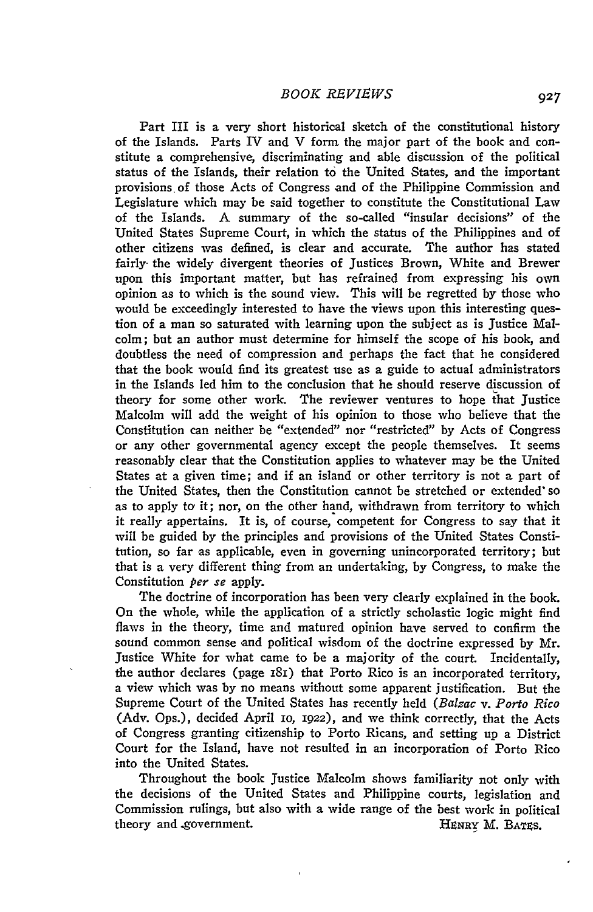Part III is a very short historical sketch of the constitutional history of the Islands. Parts IV and V form the major part of the book and constitute a comprehensive, discriminating and able discussion of the political status of the Islands, their relation to the United States, and the important provisions. of those Acts of Congress and of the Philippine Commission and Legislature which may be said together to constitute the Constitutional Law of the Islands. A summary of the so-called "insular decisions" of the United States Supreme Court, in which the status of the Philippines and of other citizens was defined, is clear and accurate. The author has stated fairly- the widely divergent theories of Justices Brown, White and Brewer upon this important matter, but has refrained from expressing his own opinion as to which is the sound view. This will be regretted by those who would be exceedingly interested to have the views upon this interesting question of a man so saturated with learning upon the subject as is Justice Malcolm; but an author must determine for himself the scope of his book, and doubtless the need of compression and perhaps the fact that he considered that the book would find its greatest use as a guide to actual administrators in the Islands led him to the conclusion that he should reserve discussion of theory for some other work. The reviewer ventures to hope that Justice Malcolm will add the weight of his opinion to those who believe that the Constitution can neither be "extended" nor "restricted" by Acts of Congress or any other governmental agency except the people themselves. It seems reasonably clear that the Constitution applies to whatever may be the United States at a given time; and if an island or other territory is not a part of the United States, then the Constitution cannot be stretched or extended' so as to apply *to* it; nor, on the other hand, withdrawn from territory to which it really appertains. It is, of course, competent for Congress to say that it will be guided by the principles and provisions of the United States Constitution, so far as applicable, even in governing unincorporated territory; but that is a very different thing from an undertaking, by Congress, to make the Constitution *per se* apply.

The doctrine of incorporation has been very clearly explained in the book. On the whole, while the application of a strictly scholastic logic might find flaws in the theory, time and matured opinion have served to confirm the sound common sense and political wisdom of the doctrine expressed by Mr. Justice White for what came to be a majority of the court. Incidentally, the author declares (page 181) that Porto Rico is an incorporated territory, a view which was by no means without some apparent justification. But the Supreme Court of the United States has recently held *(Balzac* v. *Porto Rico*  (Adv. Ops.), decided April IO, 1922), and we think correctly, that the Acts of Congress granting citizenship to Porto Ricans, and setting up a District Court for the Island, have not resulted in an incorporation of Porto Rico into the United States.

Throughout the book Justice Malcolm shows familiarity not only with the decisions of the United States and Philippine courts, legislation and Commission rulings, but also with a wide range of the best work in political theory and .government. lilling and .government. The HENRY M. BATES.